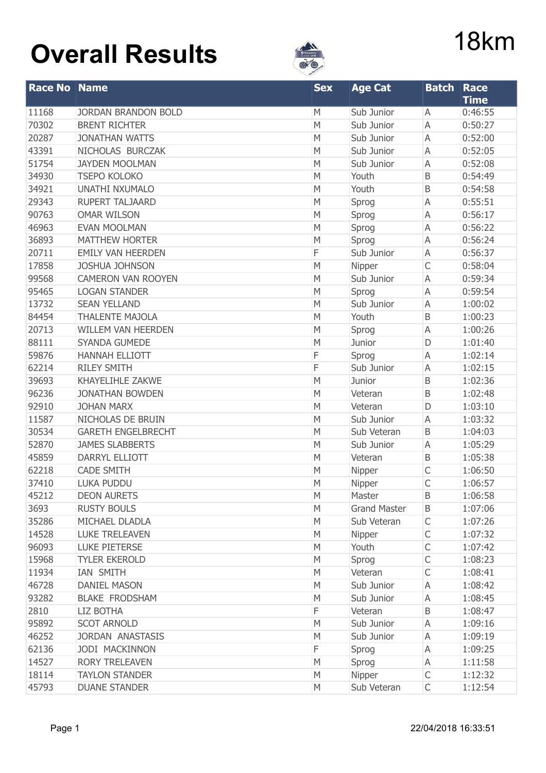

| <b>Race No</b> | <b>Name</b>                | <b>Sex</b> | <b>Age Cat</b>      | <b>Batch</b> | <b>Race</b> |
|----------------|----------------------------|------------|---------------------|--------------|-------------|
|                |                            |            |                     |              | <b>Time</b> |
| 11168          | <b>JORDAN BRANDON BOLD</b> | M          | Sub Junior          | A            | 0:46:55     |
| 70302          | <b>BRENT RICHTER</b>       | M          | Sub Junior          | A            | 0:50:27     |
| 20287          | <b>JONATHAN WATTS</b>      | M          | Sub Junior          | A            | 0:52:00     |
| 43391          | NICHOLAS BURCZAK           | M          | Sub Junior          | A            | 0:52:05     |
| 51754          | <b>JAYDEN MOOLMAN</b>      | M          | Sub Junior          | A            | 0:52:08     |
| 34930          | <b>TSEPO KOLOKO</b>        | M          | Youth               | B            | 0:54:49     |
| 34921          | <b>UNATHI NXUMALO</b>      | M          | Youth               | B            | 0:54:58     |
| 29343          | <b>RUPERT TALJAARD</b>     | M          | Sprog               | A            | 0:55:51     |
| 90763          | <b>OMAR WILSON</b>         | M          | Sprog               | A            | 0:56:17     |
| 46963          | <b>EVAN MOOLMAN</b>        | M          | Sprog               | A            | 0:56:22     |
| 36893          | <b>MATTHEW HORTER</b>      | M          | Sprog               | A            | 0:56:24     |
| 20711          | <b>EMILY VAN HEERDEN</b>   | F          | Sub Junior          | A            | 0:56:37     |
| 17858          | <b>JOSHUA JOHNSON</b>      | M          | Nipper              | $\mathsf{C}$ | 0:58:04     |
| 99568          | <b>CAMERON VAN ROOYEN</b>  | M          | Sub Junior          | A            | 0:59:34     |
| 95465          | <b>LOGAN STANDER</b>       | M          | Sprog               | A            | 0:59:54     |
| 13732          | <b>SEAN YELLAND</b>        | M          | Sub Junior          | A            | 1:00:02     |
| 84454          | <b>THALENTE MAJOLA</b>     | M          | Youth               | B            | 1:00:23     |
| 20713          | <b>WILLEM VAN HEERDEN</b>  | M          | Sprog               | A            | 1:00:26     |
| 88111          | <b>SYANDA GUMEDE</b>       | M          | Junior              | D            | 1:01:40     |
| 59876          | <b>HANNAH ELLIOTT</b>      | F          | Sprog               | A            | 1:02:14     |
| 62214          | <b>RILEY SMITH</b>         | F          | Sub Junior          | A            | 1:02:15     |
| 39693          | <b>KHAYELIHLE ZAKWE</b>    | M          | Junior              | $\mathsf B$  | 1:02:36     |
| 96236          | <b>JONATHAN BOWDEN</b>     | M          | Veteran             | B            | 1:02:48     |
| 92910          | <b>JOHAN MARX</b>          | M          | Veteran             | D            | 1:03:10     |
| 11587          | NICHOLAS DE BRUIN          | M          | Sub Junior          | A            | 1:03:32     |
| 30534          | <b>GARETH ENGELBRECHT</b>  | M          | Sub Veteran         | B            | 1:04:03     |
| 52870          | <b>JAMES SLABBERTS</b>     | M          | Sub Junior          | A            | 1:05:29     |
| 45859          | DARRYL ELLIOTT             | M          | Veteran             | $\mathsf B$  | 1:05:38     |
| 62218          | <b>CADE SMITH</b>          | M          | Nipper              | C            | 1:06:50     |
| 37410          | <b>LUKA PUDDU</b>          | М          | Nipper              | C            | 1:06:57     |
| 45212          | <b>DEON AURETS</b>         | M          | Master              | B            | 1:06:58     |
| 3693           | <b>RUSTY BOULS</b>         | M          | <b>Grand Master</b> | B            | 1:07:06     |
| 35286          | MICHAEL DLADLA             | M          | Sub Veteran         | $\mathsf{C}$ | 1:07:26     |
| 14528          | <b>LUKE TRELEAVEN</b>      | M          | Nipper              | $\mathsf C$  | 1:07:32     |
| 96093          | <b>LUKE PIETERSE</b>       | M          | Youth               | $\mathsf{C}$ | 1:07:42     |
| 15968          | <b>TYLER EKEROLD</b>       | M          | Sprog               | C            | 1:08:23     |
| 11934          | IAN SMITH                  | M          | Veteran             | С            | 1:08:41     |
| 46728          | <b>DANIEL MASON</b>        | M          | Sub Junior          | Α            | 1:08:42     |
| 93282          | <b>BLAKE FRODSHAM</b>      | M          | Sub Junior          | Α            | 1:08:45     |
| 2810           | LIZ BOTHA                  | F          | Veteran             | B            | 1:08:47     |
| 95892          | <b>SCOT ARNOLD</b>         | M          | Sub Junior          | Α            | 1:09:16     |
| 46252          | <b>JORDAN ANASTASIS</b>    | M          | Sub Junior          | Α            | 1:09:19     |
| 62136          | <b>JODI MACKINNON</b>      | F          | Sprog               | А            | 1:09:25     |
| 14527          | <b>RORY TRELEAVEN</b>      | M          | Sprog               | Α            | 1:11:58     |
| 18114          | <b>TAYLON STANDER</b>      | M          | Nipper              | $\mathsf C$  | 1:12:32     |
| 45793          | <b>DUANE STANDER</b>       | M          | Sub Veteran         | $\mathsf{C}$ | 1:12:54     |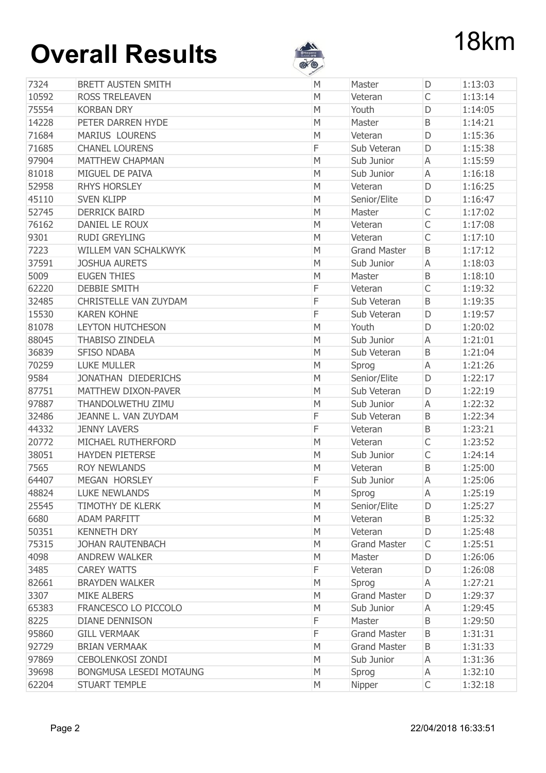

|       |                                | st <sup>er</sup> |                     |              |         |
|-------|--------------------------------|------------------|---------------------|--------------|---------|
| 7324  | <b>BRETT AUSTEN SMITH</b>      | M                | Master              | D            | 1:13:03 |
| 10592 | <b>ROSS TRELEAVEN</b>          | M                | Veteran             | $\mathsf{C}$ | 1:13:14 |
| 75554 | <b>KORBAN DRY</b>              | M                | Youth               | D            | 1:14:05 |
| 14228 | PETER DARREN HYDE              | M                | Master              | B            | 1:14:21 |
| 71684 | <b>MARIUS LOURENS</b>          | M                | Veteran             | D            | 1:15:36 |
| 71685 | <b>CHANEL LOURENS</b>          | F                | Sub Veteran         | D            | 1:15:38 |
| 97904 | <b>MATTHEW CHAPMAN</b>         | M                | Sub Junior          | A            | 1:15:59 |
| 81018 | MIGUEL DE PAIVA                | M                | Sub Junior          | A            | 1:16:18 |
| 52958 | <b>RHYS HORSLEY</b>            | M                | Veteran             | D            | 1:16:25 |
| 45110 | <b>SVEN KLIPP</b>              | M                | Senior/Elite        | D            | 1:16:47 |
| 52745 | <b>DERRICK BAIRD</b>           | M                | Master              | $\mathsf{C}$ | 1:17:02 |
| 76162 | DANIEL LE ROUX                 | M                | Veteran             | $\mathsf{C}$ | 1:17:08 |
| 9301  | <b>RUDI GREYLING</b>           | M                | Veteran             | $\mathsf{C}$ | 1:17:10 |
| 7223  | WILLEM VAN SCHALKWYK           | M                | <b>Grand Master</b> | B            | 1:17:12 |
| 37591 | <b>JOSHUA AURETS</b>           | M                | Sub Junior          | A            | 1:18:03 |
| 5009  | <b>EUGEN THIES</b>             | M                | Master              | B            | 1:18:10 |
| 62220 | <b>DEBBIE SMITH</b>            | F                | Veteran             | $\mathsf{C}$ | 1:19:32 |
| 32485 | <b>CHRISTELLE VAN ZUYDAM</b>   | F                | Sub Veteran         | B            | 1:19:35 |
| 15530 | <b>KAREN KOHNE</b>             | F                | Sub Veteran         | D            | 1:19:57 |
| 81078 | <b>LEYTON HUTCHESON</b>        | M                | Youth               | D            | 1:20:02 |
| 88045 | <b>THABISO ZINDELA</b>         | M                | Sub Junior          | A            | 1:21:01 |
| 36839 | <b>SFISO NDABA</b>             | M                | Sub Veteran         | B            | 1:21:04 |
| 70259 | <b>LUKE MULLER</b>             | М                | Sprog               | A            | 1:21:26 |
| 9584  | JONATHAN DIEDERICHS            | M                | Senior/Elite        | D            | 1:22:17 |
| 87751 | MATTHEW DIXON-PAVER            | M                | Sub Veteran         | D            | 1:22:19 |
| 97887 | THANDOLWETHU ZIMU              | M                | Sub Junior          | A            | 1:22:32 |
| 32486 | JEANNE L. VAN ZUYDAM           | F                | Sub Veteran         | B            | 1:22:34 |
| 44332 | <b>JENNY LAVERS</b>            | F                | Veteran             | B            | 1:23:21 |
| 20772 | MICHAEL RUTHERFORD             | M                | Veteran             | $\mathsf{C}$ | 1:23:52 |
| 38051 | <b>HAYDEN PIETERSE</b>         | M                | Sub Junior          | $\mathsf{C}$ | 1:24:14 |
| 7565  | <b>ROY NEWLANDS</b>            | M                | Veteran             | B            | 1:25:00 |
| 64407 | MEGAN HORSLEY                  | F                | Sub Junior          | Α            | 1:25:06 |
| 48824 | <b>LUKE NEWLANDS</b>           | M                | Sprog               | Α            | 1:25:19 |
| 25545 | <b>TIMOTHY DE KLERK</b>        | М                | Senior/Elite        | D            | 1:25:27 |
| 6680  | <b>ADAM PARFITT</b>            | M                | Veteran             | B            | 1:25:32 |
| 50351 | <b>KENNETH DRY</b>             | M                | Veteran             | D            | 1:25:48 |
| 75315 | <b>JOHAN RAUTENBACH</b>        | М                | <b>Grand Master</b> | C            | 1:25:51 |
| 4098  | <b>ANDREW WALKER</b>           | M                | Master              | D            | 1:26:06 |
| 3485  | <b>CAREY WATTS</b>             | F                | Veteran             | D            | 1:26:08 |
| 82661 | <b>BRAYDEN WALKER</b>          | M                | Sprog               | A            | 1:27:21 |
| 3307  | <b>MIKE ALBERS</b>             | M                | <b>Grand Master</b> | D            | 1:29:37 |
| 65383 | FRANCESCO LO PICCOLO           | M                | Sub Junior          | A            | 1:29:45 |
| 8225  | <b>DIANE DENNISON</b>          | F                | Master              | B            | 1:29:50 |
| 95860 | <b>GILL VERMAAK</b>            | F                | <b>Grand Master</b> | Β            | 1:31:31 |
| 92729 | <b>BRIAN VERMAAK</b>           | M                | <b>Grand Master</b> | B            | 1:31:33 |
| 97869 | <b>CEBOLENKOSI ZONDI</b>       | M                | Sub Junior          | Α            | 1:31:36 |
| 39698 | <b>BONGMUSA LESEDI MOTAUNG</b> | М                | Sprog               | Α            | 1:32:10 |
| 62204 | <b>STUART TEMPLE</b>           | М                | Nipper              | $\mathsf{C}$ | 1:32:18 |
|       |                                |                  |                     |              |         |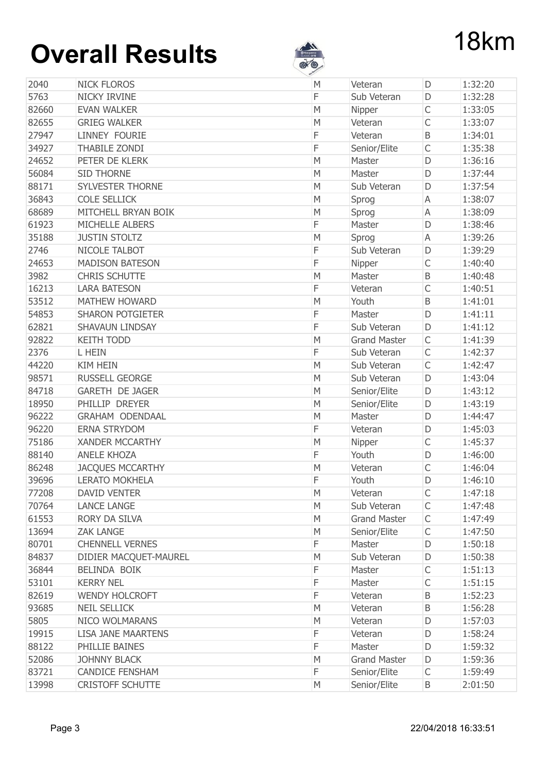

|       |                           | v |                     |              |         |
|-------|---------------------------|---|---------------------|--------------|---------|
| 2040  | <b>NICK FLOROS</b>        | M | Veteran             | D            | 1:32:20 |
| 5763  | NICKY IRVINE              | F | Sub Veteran         | D            | 1:32:28 |
| 82660 | <b>EVAN WALKER</b>        | M | Nipper              | $\mathsf{C}$ | 1:33:05 |
| 82655 | <b>GRIEG WALKER</b>       | M | Veteran             | C            | 1:33:07 |
| 27947 | <b>LINNEY FOURIE</b>      | F | Veteran             | B            | 1:34:01 |
| 34927 | <b>THABILE ZONDI</b>      | F | Senior/Elite        | $\mathsf{C}$ | 1:35:38 |
| 24652 | PETER DE KLERK            | M | Master              | D            | 1:36:16 |
| 56084 | <b>SID THORNE</b>         | M | Master              | D            | 1:37:44 |
| 88171 | <b>SYLVESTER THORNE</b>   | M | Sub Veteran         | D            | 1:37:54 |
| 36843 | <b>COLE SELLICK</b>       | M | Sprog               | A            | 1:38:07 |
| 68689 | MITCHELL BRYAN BOIK       | M | Sprog               | A            | 1:38:09 |
| 61923 | MICHELLE ALBERS           | F | Master              | D            | 1:38:46 |
| 35188 | <b>JUSTIN STOLTZ</b>      | M | Sprog               | A            | 1:39:26 |
| 2746  | NICOLE TALBOT             | F | Sub Veteran         | D            | 1:39:29 |
| 24653 | <b>MADISON BATESON</b>    | F | Nipper              | $\mathsf{C}$ | 1:40:40 |
| 3982  | <b>CHRIS SCHUTTE</b>      | M | Master              | B            | 1:40:48 |
| 16213 | <b>LARA BATESON</b>       | F | Veteran             | C            | 1:40:51 |
| 53512 | <b>MATHEW HOWARD</b>      | M | Youth               | B            | 1:41:01 |
| 54853 | <b>SHARON POTGIETER</b>   | F | Master              | D            | 1:41:11 |
| 62821 | <b>SHAVAUN LINDSAY</b>    | F | Sub Veteran         | D            | 1:41:12 |
| 92822 | <b>KEITH TODD</b>         | M | <b>Grand Master</b> | $\mathsf C$  | 1:41:39 |
| 2376  | L HEIN                    | F | Sub Veteran         | C            | 1:42:37 |
| 44220 | <b>KIM HEIN</b>           | M | Sub Veteran         | $\mathsf{C}$ | 1:42:47 |
| 98571 | <b>RUSSELL GEORGE</b>     | M | Sub Veteran         | D            | 1:43:04 |
| 84718 | <b>GARETH DE JAGER</b>    | M | Senior/Elite        | D            | 1:43:12 |
| 18950 | PHILLIP DREYER            | M | Senior/Elite        | D            | 1:43:19 |
| 96222 | <b>GRAHAM ODENDAAL</b>    | M | Master              | D            | 1:44:47 |
| 96220 | <b>ERNA STRYDOM</b>       | F | Veteran             | D            | 1:45:03 |
| 75186 | <b>XANDER MCCARTHY</b>    | M | Nipper              | C            | 1:45:37 |
| 88140 | <b>ANELE KHOZA</b>        | F | Youth               | D            | 1:46:00 |
| 86248 | <b>JACQUES MCCARTHY</b>   | M | Veteran             | C            | 1:46:04 |
| 39696 | <b>LERATO MOKHELA</b>     | F | Youth               | D            | 1:46:10 |
| 77208 | <b>DAVID VENTER</b>       | M | Veteran             | C            | 1:47:18 |
| 70764 | <b>LANCE LANGE</b>        | M | Sub Veteran         | $\mathsf C$  | 1:47:48 |
| 61553 | RORY DA SILVA             | M | <b>Grand Master</b> | $\mathsf C$  | 1:47:49 |
| 13694 | <b>ZAK LANGE</b>          | M | Senior/Elite        | С            | 1:47:50 |
| 80701 | <b>CHENNELL VERNES</b>    | F | Master              | D            | 1:50:18 |
| 84837 | DIDIER MACQUET-MAUREL     | M | Sub Veteran         | D            | 1:50:38 |
| 36844 | BELINDA BOIK              | F | Master              | С            | 1:51:13 |
| 53101 | <b>KERRY NEL</b>          | F | Master              | $\mathsf C$  | 1:51:15 |
| 82619 | <b>WENDY HOLCROFT</b>     | F | Veteran             | Β            | 1:52:23 |
| 93685 | <b>NEIL SELLICK</b>       | M | Veteran             | Β            | 1:56:28 |
| 5805  | <b>NICO WOLMARANS</b>     | M | Veteran             | D            | 1:57:03 |
| 19915 | <b>LISA JANE MAARTENS</b> | F | Veteran             | D            | 1:58:24 |
| 88122 | PHILLIE BAINES            | F | Master              | D            | 1:59:32 |
| 52086 | <b>JOHNNY BLACK</b>       | M | <b>Grand Master</b> | D            | 1:59:36 |
| 83721 | <b>CANDICE FENSHAM</b>    | F | Senior/Elite        | C            | 1:59:49 |
| 13998 | <b>CRISTOFF SCHUTTE</b>   | M | Senior/Elite        | B            | 2:01:50 |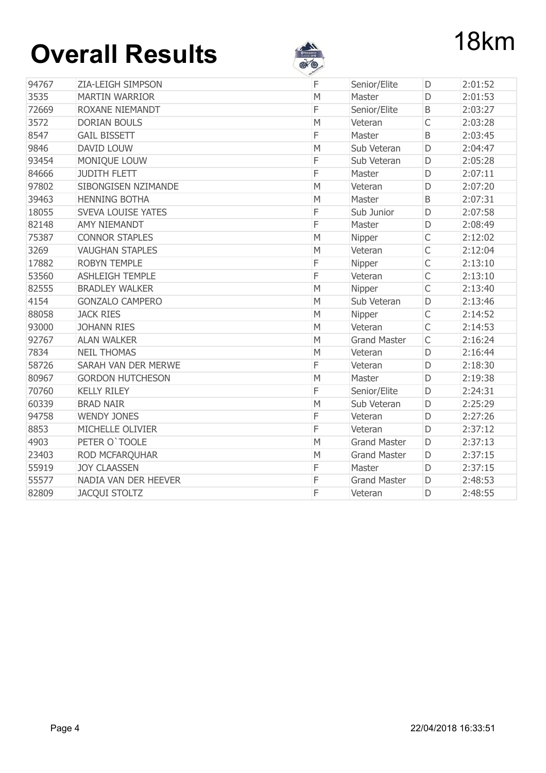

|       |                           | v            |                     |              |         |
|-------|---------------------------|--------------|---------------------|--------------|---------|
| 94767 | <b>ZIA-LEIGH SIMPSON</b>  | F            | Senior/Elite        | D            | 2:01:52 |
| 3535  | <b>MARTIN WARRIOR</b>     | M            | Master              | D            | 2:01:53 |
| 72669 | <b>ROXANE NIEMANDT</b>    | F            | Senior/Elite        | $\sf B$      | 2:03:27 |
| 3572  | <b>DORIAN BOULS</b>       | M            | Veteran             | $\mathsf{C}$ | 2:03:28 |
| 8547  | <b>GAIL BISSETT</b>       | F            | Master              | B            | 2:03:45 |
| 9846  | <b>DAVID LOUW</b>         | M            | Sub Veteran         | D            | 2:04:47 |
| 93454 | MONIQUE LOUW              | F            | Sub Veteran         | D            | 2:05:28 |
| 84666 | <b>JUDITH FLETT</b>       | F            | Master              | D            | 2:07:11 |
| 97802 | SIBONGISEN NZIMANDE       | M            | Veteran             | D            | 2:07:20 |
| 39463 | <b>HENNING BOTHA</b>      | $\mathsf{M}$ | Master              | $\sf B$      | 2:07:31 |
| 18055 | <b>SVEVA LOUISE YATES</b> | F            | Sub Junior          | D            | 2:07:58 |
| 82148 | <b>AMY NIEMANDT</b>       | F            | Master              | D            | 2:08:49 |
| 75387 | <b>CONNOR STAPLES</b>     | M            | Nipper              | $\mathsf C$  | 2:12:02 |
| 3269  | <b>VAUGHAN STAPLES</b>    | M            | Veteran             | $\mathsf{C}$ | 2:12:04 |
| 17882 | <b>ROBYN TEMPLE</b>       | F            | Nipper              | $\mathsf{C}$ | 2:13:10 |
| 53560 | <b>ASHLEIGH TEMPLE</b>    | F            | Veteran             | $\mathsf{C}$ | 2:13:10 |
| 82555 | <b>BRADLEY WALKER</b>     | M            | Nipper              | $\mathsf{C}$ | 2:13:40 |
| 4154  | <b>GONZALO CAMPERO</b>    | M            | Sub Veteran         | D            | 2:13:46 |
| 88058 | <b>JACK RIES</b>          | M            | Nipper              | $\mathsf{C}$ | 2:14:52 |
| 93000 | <b>JOHANN RIES</b>        | M            | Veteran             | $\mathsf{C}$ | 2:14:53 |
| 92767 | <b>ALAN WALKER</b>        | M            | <b>Grand Master</b> | $\mathsf{C}$ | 2:16:24 |
| 7834  | <b>NEIL THOMAS</b>        | M            | Veteran             | D            | 2:16:44 |
| 58726 | SARAH VAN DER MERWE       | F            | Veteran             | D            | 2:18:30 |
| 80967 | <b>GORDON HUTCHESON</b>   | M            | Master              | D            | 2:19:38 |
| 70760 | <b>KELLY RILEY</b>        | F            | Senior/Elite        | D            | 2:24:31 |
| 60339 | <b>BRAD NAIR</b>          | M            | Sub Veteran         | D            | 2:25:29 |
| 94758 | <b>WENDY JONES</b>        | F            | Veteran             | D            | 2:27:26 |
| 8853  | MICHELLE OLIVIER          | F            | Veteran             | D            | 2:37:12 |
| 4903  | PETER O'TOOLE             | M            | <b>Grand Master</b> | D            | 2:37:13 |
| 23403 | ROD MCFARQUHAR            | M            | <b>Grand Master</b> | D            | 2:37:15 |
| 55919 | <b>JOY CLAASSEN</b>       | F            | Master              | D            | 2:37:15 |
| 55577 | NADIA VAN DER HEEVER      | F            | <b>Grand Master</b> | D            | 2:48:53 |
| 82809 | <b>JACQUI STOLTZ</b>      | F            | Veteran             | D            | 2:48:55 |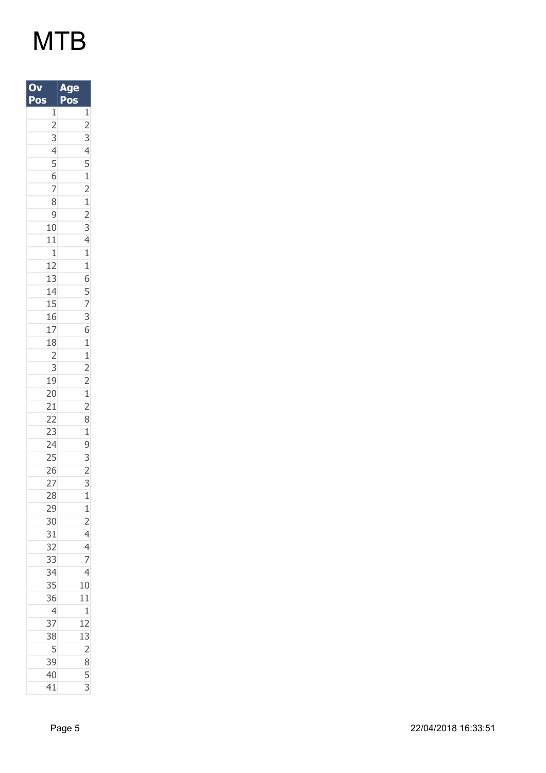| O<br>Pos                                                                                                                                                                                                                                                                                                                                                                                                       | Ą<br>e<br>ğ<br>Pos                                                                                                                                                                                                |
|----------------------------------------------------------------------------------------------------------------------------------------------------------------------------------------------------------------------------------------------------------------------------------------------------------------------------------------------------------------------------------------------------------------|-------------------------------------------------------------------------------------------------------------------------------------------------------------------------------------------------------------------|
| $\mathbf{1}$                                                                                                                                                                                                                                                                                                                                                                                                   |                                                                                                                                                                                                                   |
|                                                                                                                                                                                                                                                                                                                                                                                                                |                                                                                                                                                                                                                   |
|                                                                                                                                                                                                                                                                                                                                                                                                                |                                                                                                                                                                                                                   |
|                                                                                                                                                                                                                                                                                                                                                                                                                |                                                                                                                                                                                                                   |
|                                                                                                                                                                                                                                                                                                                                                                                                                |                                                                                                                                                                                                                   |
|                                                                                                                                                                                                                                                                                                                                                                                                                |                                                                                                                                                                                                                   |
|                                                                                                                                                                                                                                                                                                                                                                                                                |                                                                                                                                                                                                                   |
|                                                                                                                                                                                                                                                                                                                                                                                                                |                                                                                                                                                                                                                   |
|                                                                                                                                                                                                                                                                                                                                                                                                                |                                                                                                                                                                                                                   |
| $\begin{array}{@{}c@{\hspace{1em}}c@{\hspace{1em}}c@{\hspace{1em}}c@{\hspace{1em}}c@{\hspace{1em}}c@{\hspace{1em}}c@{\hspace{1em}}c@{\hspace{1em}}c@{\hspace{1em}}c@{\hspace{1em}}c@{\hspace{1em}}c@{\hspace{1em}}c@{\hspace{1em}}c@{\hspace{1em}}c@{\hspace{1em}}c@{\hspace{1em}}c@{\hspace{1em}}c@{\hspace{1em}}c@{\hspace{1em}}c@{\hspace{1em}}c@{\hspace{1em}}c@{\hspace{1em}}c@{\hspace{1em}}c@{\hspace{$ |                                                                                                                                                                                                                   |
| 11                                                                                                                                                                                                                                                                                                                                                                                                             |                                                                                                                                                                                                                   |
|                                                                                                                                                                                                                                                                                                                                                                                                                |                                                                                                                                                                                                                   |
| $\frac{1}{12}$                                                                                                                                                                                                                                                                                                                                                                                                 |                                                                                                                                                                                                                   |
| 13                                                                                                                                                                                                                                                                                                                                                                                                             |                                                                                                                                                                                                                   |
|                                                                                                                                                                                                                                                                                                                                                                                                                |                                                                                                                                                                                                                   |
| $\frac{14}{15}$                                                                                                                                                                                                                                                                                                                                                                                                |                                                                                                                                                                                                                   |
| 16                                                                                                                                                                                                                                                                                                                                                                                                             |                                                                                                                                                                                                                   |
| 17                                                                                                                                                                                                                                                                                                                                                                                                             |                                                                                                                                                                                                                   |
| 18                                                                                                                                                                                                                                                                                                                                                                                                             |                                                                                                                                                                                                                   |
|                                                                                                                                                                                                                                                                                                                                                                                                                |                                                                                                                                                                                                                   |
|                                                                                                                                                                                                                                                                                                                                                                                                                |                                                                                                                                                                                                                   |
| $\begin{array}{c}\n 2 \\  3 \\  \hline\n 19 \\  \hline\n 20\n \end{array}$                                                                                                                                                                                                                                                                                                                                     |                                                                                                                                                                                                                   |
|                                                                                                                                                                                                                                                                                                                                                                                                                | $\frac{1}{2}$ $\frac{2}{3}$ $\frac{3}{4}$ $\frac{4}{5}$ $\frac{1}{2}$ $\frac{2}{3}$ $\frac{3}{4}$ $\frac{4}{1}$ $\frac{1}{1}$ $\frac{6}{5}$ $\frac{7}{7}$ $\frac{3}{6}$ $\frac{6}{1}$ $\frac{1}{2}$ $\frac{2}{2}$ |
|                                                                                                                                                                                                                                                                                                                                                                                                                |                                                                                                                                                                                                                   |
|                                                                                                                                                                                                                                                                                                                                                                                                                |                                                                                                                                                                                                                   |
|                                                                                                                                                                                                                                                                                                                                                                                                                |                                                                                                                                                                                                                   |
| 21<br>22<br>23<br>24<br>25<br>26                                                                                                                                                                                                                                                                                                                                                                               |                                                                                                                                                                                                                   |
|                                                                                                                                                                                                                                                                                                                                                                                                                |                                                                                                                                                                                                                   |
|                                                                                                                                                                                                                                                                                                                                                                                                                |                                                                                                                                                                                                                   |
| 27                                                                                                                                                                                                                                                                                                                                                                                                             | $\overline{3}$                                                                                                                                                                                                    |
| 28                                                                                                                                                                                                                                                                                                                                                                                                             | $\mathbf{1}$                                                                                                                                                                                                      |
| 29                                                                                                                                                                                                                                                                                                                                                                                                             |                                                                                                                                                                                                                   |
| 30                                                                                                                                                                                                                                                                                                                                                                                                             | $\frac{1}{2}$ $\frac{4}{4}$ $\frac{4}{7}$ $\frac{4}{4}$                                                                                                                                                           |
| 31<br>32<br>33                                                                                                                                                                                                                                                                                                                                                                                                 |                                                                                                                                                                                                                   |
|                                                                                                                                                                                                                                                                                                                                                                                                                |                                                                                                                                                                                                                   |
|                                                                                                                                                                                                                                                                                                                                                                                                                |                                                                                                                                                                                                                   |
| 34<br>35                                                                                                                                                                                                                                                                                                                                                                                                       | 10                                                                                                                                                                                                                |
| 36                                                                                                                                                                                                                                                                                                                                                                                                             | 11                                                                                                                                                                                                                |
| $\overline{a}$                                                                                                                                                                                                                                                                                                                                                                                                 | $\mathbf{1}$                                                                                                                                                                                                      |
| $\overline{37}$                                                                                                                                                                                                                                                                                                                                                                                                |                                                                                                                                                                                                                   |
| 38                                                                                                                                                                                                                                                                                                                                                                                                             |                                                                                                                                                                                                                   |
| $\overline{5}$                                                                                                                                                                                                                                                                                                                                                                                                 |                                                                                                                                                                                                                   |
| 39                                                                                                                                                                                                                                                                                                                                                                                                             | $\frac{12}{13}$ $\frac{2}{8}$                                                                                                                                                                                     |
| 40                                                                                                                                                                                                                                                                                                                                                                                                             | $\overline{5}$                                                                                                                                                                                                    |
| 41                                                                                                                                                                                                                                                                                                                                                                                                             | 3                                                                                                                                                                                                                 |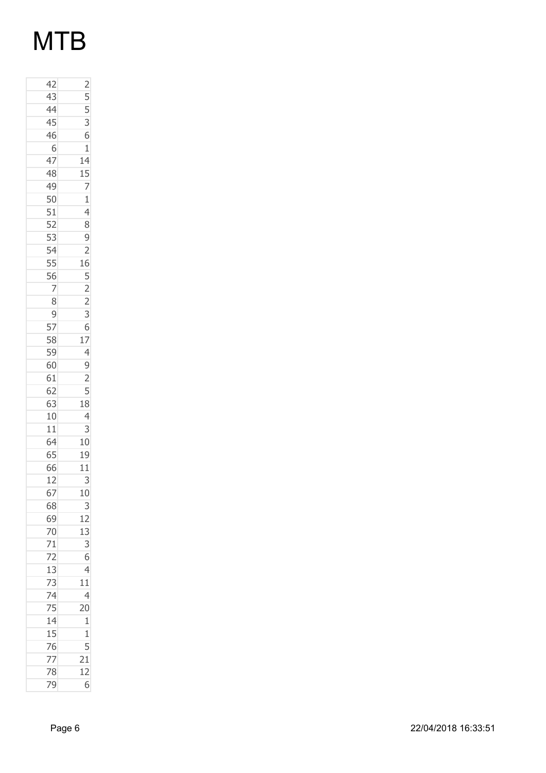| $\frac{2}{5}$ $\frac{5}{3}$                                                   |
|-------------------------------------------------------------------------------|
|                                                                               |
| 6                                                                             |
| $\mathbf{1}$                                                                  |
| 14                                                                            |
|                                                                               |
|                                                                               |
|                                                                               |
| $\begin{array}{r} 15 \\ 7 \\ 1 \\ 4 \\ 8 \end{array}$                         |
|                                                                               |
| $\frac{9}{2}$                                                                 |
|                                                                               |
|                                                                               |
|                                                                               |
|                                                                               |
| $\begin{array}{r} 16 \\ 5 \\ 2 \\ 2 \end{array}$                              |
|                                                                               |
|                                                                               |
|                                                                               |
|                                                                               |
|                                                                               |
|                                                                               |
| $\begin{array}{r} 3 \\ 6 \\ 17 \\ 4 \\ 9 \\ 2 \\ 5 \\ 18 \\ 4 \\ \end{array}$ |
|                                                                               |
|                                                                               |
| 3                                                                             |
| 10                                                                            |
| 19                                                                            |
| 11                                                                            |
| 3                                                                             |
| 10                                                                            |
| $\overline{3}$                                                                |
|                                                                               |
|                                                                               |
| $\begin{array}{r} 12 \\ 13 \\ 3 \\ 6 \\ 4 \\ \hline \end{array}$              |
|                                                                               |
|                                                                               |
|                                                                               |
|                                                                               |
| $\begin{array}{c} 11 \\ 4 \\ 20 \end{array}$                                  |
|                                                                               |
| $\frac{1}{1}$                                                                 |
|                                                                               |
| 21                                                                            |
| 12                                                                            |
| 6                                                                             |
|                                                                               |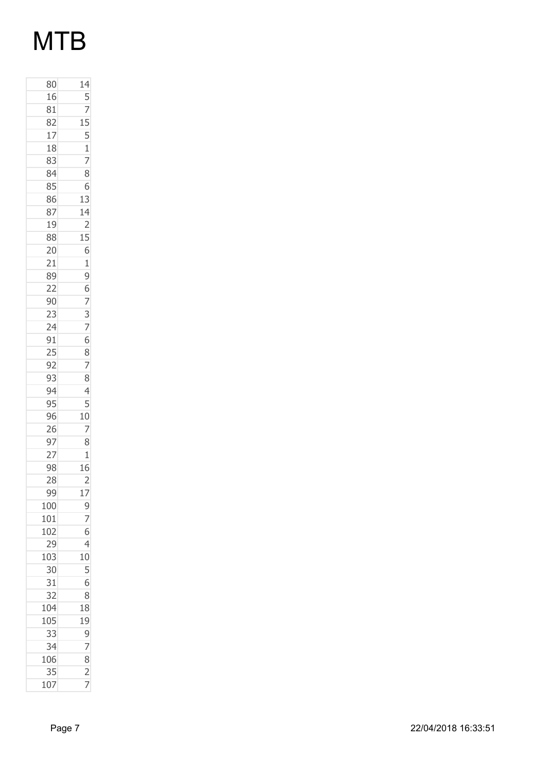| 80                | $\frac{14}{1}$                                                           |
|-------------------|--------------------------------------------------------------------------|
| 16                |                                                                          |
| 81                |                                                                          |
| 82                |                                                                          |
| 17                |                                                                          |
| 18                |                                                                          |
| 83                | $\frac{5}{7}$<br>$\frac{7}{15}$<br>$\frac{1}{7}$                         |
| 84                | 8                                                                        |
| 85                | 6                                                                        |
| 86                | 13                                                                       |
| 87                |                                                                          |
| 19                | $\frac{14}{2}$                                                           |
| 88                |                                                                          |
| 20                | $\frac{15}{6}$                                                           |
|                   |                                                                          |
| 21<br>89          |                                                                          |
| $\overline{22}$   |                                                                          |
| 90                |                                                                          |
|                   |                                                                          |
| $\frac{23}{24}$   |                                                                          |
| 91                |                                                                          |
|                   |                                                                          |
| $\frac{1}{25}$ 92 | 196737687                                                                |
| 93                | 8                                                                        |
| 94                | $\overline{4}$                                                           |
| 95                |                                                                          |
| 96                | $\begin{array}{r} 5 \\ \underline{10} \\ 7 \\ \underline{8} \end{array}$ |
| 26                |                                                                          |
| 97                |                                                                          |
| $\overline{27}$   | $\mathbf{1}$                                                             |
| 98                | $\overline{16}$                                                          |
| 28                | $\overline{2}$                                                           |
| 99                |                                                                          |
| 100               | 17                                                                       |
| 101               | $\frac{9}{7}$                                                            |
| 102               |                                                                          |
|                   |                                                                          |
| 29                | $\overline{4}$                                                           |
| 103               | 10                                                                       |
| 30                | 5                                                                        |
| 31                | 6                                                                        |
| 32                | 8                                                                        |
| 104               | 18                                                                       |
| 105               | 19                                                                       |
| 33                | 9                                                                        |
| 34                | 7                                                                        |
| 106               | 8                                                                        |
| 35                | $\overline{2}$                                                           |
| 107               | 7                                                                        |